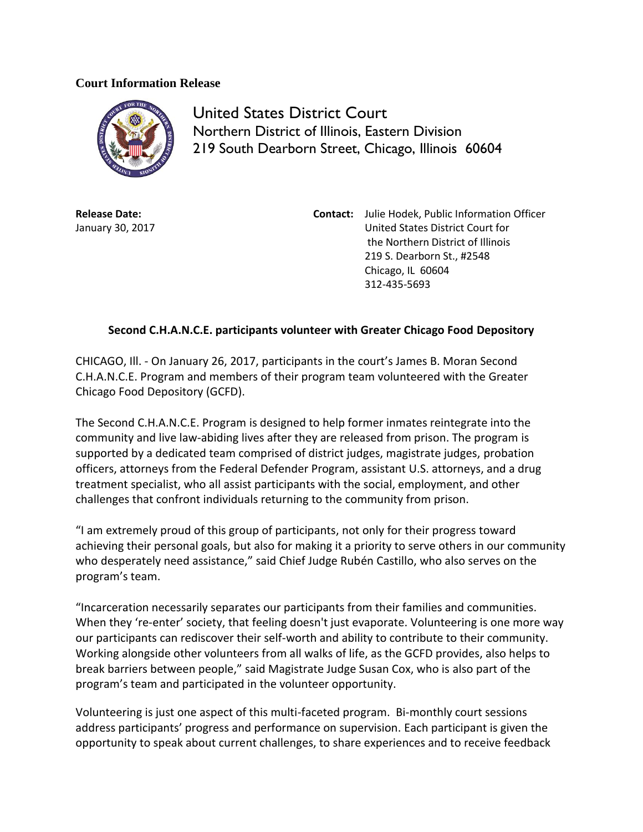## **Court Information Release**



United States District Court Northern District of Illinois, Eastern Division 219 South Dearborn Street, Chicago, Illinois 60604

**Release Date:** January 30, 2017 **Contact:** Julie Hodek, Public Information Officer United States District Court for the Northern District of Illinois 219 S. Dearborn St., #2548 Chicago, IL 60604 312-435-5693

## **Second C.H.A.N.C.E. participants volunteer with Greater Chicago Food Depository**

CHICAGO, Ill. - On January 26, 2017, participants in the court's James B. Moran Second C.H.A.N.C.E. Program and members of their program team volunteered with the Greater Chicago Food Depository (GCFD).

The Second C.H.A.N.C.E. Program is designed to help former inmates reintegrate into the community and live law-abiding lives after they are released from prison. The program is supported by a dedicated team comprised of district judges, magistrate judges, probation officers, attorneys from the Federal Defender Program, assistant U.S. attorneys, and a drug treatment specialist, who all assist participants with the social, employment, and other challenges that confront individuals returning to the community from prison.

"I am extremely proud of this group of participants, not only for their progress toward achieving their personal goals, but also for making it a priority to serve others in our community who desperately need assistance," said Chief Judge Rubén Castillo, who also serves on the program's team.

"Incarceration necessarily separates our participants from their families and communities. When they 're-enter' society, that feeling doesn't just evaporate. Volunteering is one more way our participants can rediscover their self-worth and ability to contribute to their community. Working alongside other volunteers from all walks of life, as the GCFD provides, also helps to break barriers between people," said Magistrate Judge Susan Cox, who is also part of the program's team and participated in the volunteer opportunity.

Volunteering is just one aspect of this multi-faceted program. Bi-monthly court sessions address participants' progress and performance on supervision. Each participant is given the opportunity to speak about current challenges, to share experiences and to receive feedback